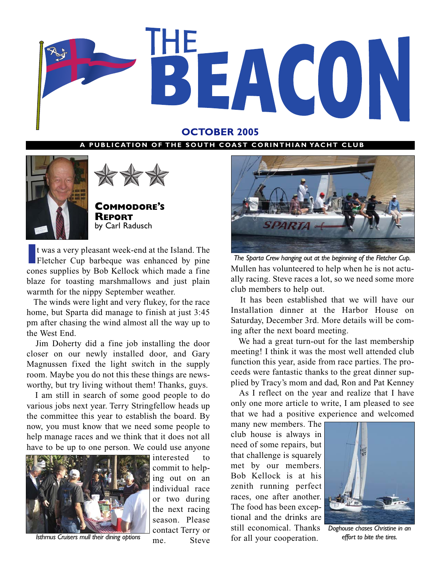

### **OCTOBER 2005**

#### **PUBLICATION OF THE SOUTH COAST CORINTHIAN YACHT CLUB**





**COMMODORE'S REPORT** by Carl Radusch

If was a very pleasant week-end at the Island. The Fletcher Cup barbeque was enhanced by pine cones supplies by Bob Kellock which made a fine t was a very pleasant week-end at the Island. The Fletcher Cup barbeque was enhanced by pine blaze for toasting marshmallows and just plain warmth for the nippy September weather.

The winds were light and very flukey, for the race home, but Sparta did manage to finish at just 3:45 pm after chasing the wind almost all the way up to the West End.

Jim Doherty did a fine job installing the door closer on our newly installed door, and Gary Magnussen fixed the light switch in the supply room. Maybe you do not this these things are newsworthy, but try living without them! Thanks, guys.

I am still in search of some good people to do various jobs next year. Terry Stringfellow heads up the committee this year to establish the board. By now, you must know that we need some people to help manage races and we think that it does not all have to be up to one person. We could use anyone



ing out on an individual race or two during the next racing season. Please contact Terry or me. Steve

interested to commit to help-



Mullen has volunteered to help when he is not actually racing. Steve races a lot, so we need some more club members to help out. *The Sparta Crew hanging out at the beginning of the Fletcher Cup.*

It has been established that we will have our Installation dinner at the Harbor House on Saturday, December 3rd. More details will be coming after the next board meeting.

We had a great turn-out for the last membership meeting! I think it was the most well attended club function this year, aside from race parties. The proceeds were fantastic thanks to the great dinner supplied by Tracy's mom and dad, Ron and Pat Kenney

As I reflect on the year and realize that I have only one more article to write, I am pleased to see that we had a positive experience and welcomed

many new members. The club house is always in need of some repairs, but that challenge is squarely met by our members. Bob Kellock is at his zenith running perfect races, one after another. The food has been exceptional and the drinks are still economical. Thanks for all your cooperation. *Isthmus Cruisers mull their dining options effort to bite the tires.*



*Doghouse chases Christine in an*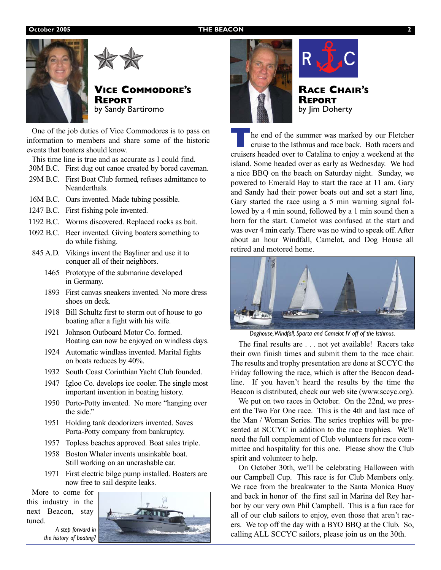#### **October 2005 THE BEACON**





### **VICE COMMODORE'S REPORT** by Sandy Bartiromo

One of the job duties of Vice Commodores is to pass on information to members and share some of the historic events that boaters should know.

This time line is true and as accurate as I could find.

- 30M B.C. First dug out canoe created by bored caveman.
- 29M B.C. First Boat Club formed, refuses admittance to Neanderthals.
- 16M B.C. Oars invented. Made tubing possible.
- 1247 B.C. First fishing pole invented.
- 1192 B.C. Worms discovered. Replaced rocks as bait.
- 1092 B.C. Beer invented. Giving boaters something to do while fishing.
- 845 A.D. Vikings invent the Bayliner and use it to conquer all of their neighbors.
	- 1465 Prototype of the submarine developed in Germany.
	- 1893 First canvas sneakers invented. No more dress shoes on deck.
	- 1918 Bill Schultz first to storm out of house to go boating after a fight with his wife.
	- 1921 Johnson Outboard Motor Co. formed. Boating can now be enjoyed on windless days.
	- 1924 Automatic windlass invented. Marital fights on boats reduces by 40%.
	- 1932 South Coast Corinthian Yacht Club founded.
	- 1947 Igloo Co. develops ice cooler. The single most important invention in boating history.
	- 1950 Porto-Potty invented. No more "hanging over the side."
	- 1951 Holding tank deodorizers invented. Saves Porta-Potty company from bankruptcy.
	- 1957 Topless beaches approved. Boat sales triple.
	- 1958 Boston Whaler invents unsinkable boat. Still working on an uncrashable car.
	- 1971 First electric bilge pump installed. Boaters are now free to sail despite leaks.

More to come for this industry in the next Beacon, stay tuned.

*A step forward in the history of boating?*







**RACE CHAIR'S REPORT** by Jim Doherty

**T**he end of the summer was marked by our Fletcher cruise to the Isthmus and race back. Both racers and cruisers headed over to Catalina to enjoy a weekend at the island. Some headed over as early as Wednesday. We had a nice BBQ on the beach on Saturday night. Sunday, we powered to Emerald Bay to start the race at 11 am. Gary and Sandy had their power boats out and set a start line, Gary started the race using a 5 min warning signal followed by a 4 min sound, followed by a 1 min sound then a horn for the start. Camelot was confused at the start and was over 4 min early. There was no wind to speak off. After about an hour Windfall, Camelot, and Dog House all retired and motored home.



*Doghouse,Windfall, Sparta and Camelot IV off of the Isthmus.*

The final results are . . . not yet available! Racers take their own finish times and submit them to the race chair. The results and trophy presentation are done at SCCYC the Friday following the race, which is after the Beacon deadline. If you haven't heard the results by the time the Beacon is distributed, check our web site (www.sccyc.org).

We put on two races in October. On the 22nd, we present the Two For One race. This is the 4th and last race of the Man / Woman Series. The series trophies will be presented at SCCYC in addition to the race trophies. We'll need the full complement of Club volunteers for race committee and hospitality for this one. Please show the Club spirit and volunteer to help.

On October 30th, we'll be celebrating Halloween with our Campbell Cup. This race is for Club Members only. We race from the breakwater to the Santa Monica Buoy and back in honor of the first sail in Marina del Rey harbor by our very own Phil Campbell. This is a fun race for all of our club sailors to enjoy, even those that aren't racers. We top off the day with a BYO BBQ at the Club. So, calling ALL SCCYC sailors, please join us on the 30th.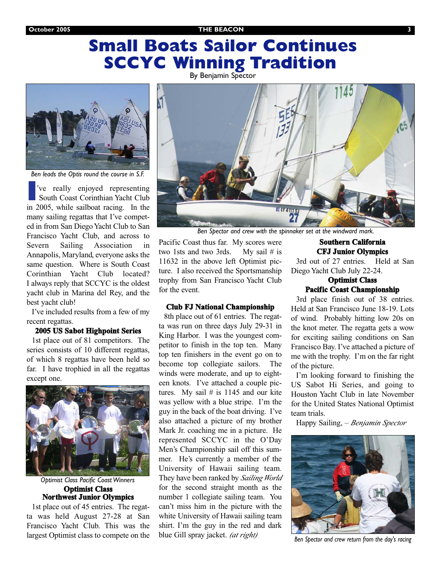**October 2005 THE BEACON 3**

# **Small Boats Sailor Continues SCCYC Winning Tradition**



*Ben leads the Optis round the course in S.F.*

**I**'ve really enjoyed representing South Coast Corinthian Yacht Club in 2005, while sailboat racing. In the many sailing regattas that I've competed in from San Diego Yacht Club to San Francisco Yacht Club, and across to Severn Sailing Association in Annapolis, Maryland, everyone asks the same question. Where is South Coast Corinthian Yacht Club located? I always reply that SCCYC is the oldest yacht club in Marina del Rey, and the best yacht club!

I've included results from a few of my recent regattas.

#### **2005 US Sabot Highpoint Series**

1st place out of 81 competitors. The series consists of 10 different regattas, of which 8 regattas have been held so far. I have trophied in all the regattas except one.



**Optimist Class Northwest Junior Olympics** *Optimist Class Pacific Coast Winners*

1st place out of 45 entries. The regatta was held August 27-28 at San Francisco Yacht Club. This was the largest Optimist class to compete on the



*Ben Spector and crew with the spinnaker set at the windward mark.*

Pacific Coast thus far. My scores were two 1sts and two 3rds. My sail # is 11632 in the above left Optimist picture. I also received the Sportsmanship trophy from San Francisco Yacht Club for the event.

#### **Club FJ National Championship**

8th place out of 61 entries. The regatta was run on three days July 29-31 in King Harbor. I was the youngest competitor to finish in the top ten. Many top ten finishers in the event go on to become top collegiate sailors. The winds were moderate, and up to eighteen knots. I've attached a couple pictures. My sail  $#$  is 1145 and our kite was yellow with a blue stripe. I'm the guy in the back of the boat driving. I've also attached a picture of my brother Mark Jr. coaching me in a picture. He represented SCCYC in the O'Day Men's Championship sail off this summer. He's currently a member of the University of Hawaii sailing team. They have been ranked by *Sailing World* for the second straight month as the number 1 collegiate sailing team. You can't miss him in the picture with the white University of Hawaii sailing team shirt. I'm the guy in the red and dark blue Gill spray jacket. *(at right)*

#### **Southern California CFJ Junior Olympics**

3rd out of 27 entries. Held at San Diego Yacht Club July 22-24.

#### **Optimist Class Pacific Coast Championship**

3rd place finish out of 38 entries. Held at San Francisco June 18-19. Lots of wind. Probably hitting low 20s on the knot meter. The regatta gets a wow for exciting sailing conditions on San Francisco Bay. I've attached a picture of me with the trophy. I'm on the far right of the picture.

I'm looking forward to finishing the US Sabot Hi Series, and going to Houston Yacht Club in late November for the United States National Optimist team trials.

Happy Sailing, – *Benjamin Spector*



*Ben Spector and crew return from the day's racing*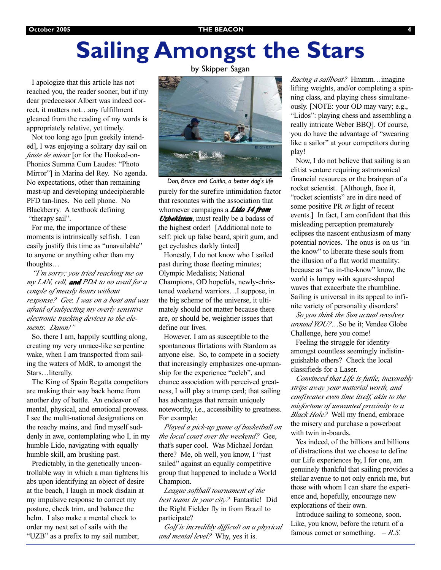# **Sailing Amongst the Stars**

I apologize that this article has not reached you, the reader sooner, but if my dear predecessor Albert was indeed correct, it matters not…any fulfillment gleaned from the reading of my words is appropriately relative, yet timely.

Not too long ago [pun geekily intended], I was enjoying a solitary day sail on *faute de mieux* [or for the Hooked-on-Phonics Summa Cum Laudes: "Photo Mirror"] in Marina del Rey. No agenda. No expectations, other than remaining mast-up and developing undecipherable PFD tan-lines. No cell phone. No Blackberry. A textbook defining "therapy sail".

For me, the importance of these moments is intrinsically selfish. I can easily justify this time as "unavailable" to anyone or anything other than my thoughts…

*"I'm sorry; you tried reaching me on my LAN, cell, and PDA to no avail for a couple of measly hours without response? Gee, I was on a boat and was afraid of subjecting my overly sensitive electronic tracking devices to the elements. Damn!"*

So, there I am, happily scuttling along, creating my very unrace-like serpentine wake, when I am transported from sailing the waters of MdR, to amongst the Stars…literally.

The King of Spain Regatta competitors are making their way back home from another day of battle. An endeavor of mental, physical, and emotional prowess. I see the multi-national designations on the roachy mains, and find myself suddenly in awe, contemplating who I, in my humble Lido, navigating with equally humble skill, am brushing past.

Predictably, in the genetically uncontrollable way in which a man tightens his abs upon identifying an object of desire at the beach, I laugh in mock disdain at my impulsive response to correct my posture, check trim, and balance the helm. I also make a mental check to order my next set of sails with the "UZB" as a prefix to my sail number,

by Skipper Sagan



purely for the surefire intimidation factor that resonates with the association that whomever campaigns a *Lido 14 from Uzbekistan*, must really be a badass of the highest order! [Additional note to self: pick up false beard, spirit gum, and get eyelashes darkly tinted] *Don, Bruce and Caitlin, a better dog's life*

Honestly, I do not know who I sailed past during those fleeting minutes; Olympic Medalists; National Champions, OD hopefuls, newly-christened weekend warriors…I suppose, in the big scheme of the universe, it ultimately should not matter because there are, or should be, weightier issues that define our lives.

However, I am as susceptible to the spontaneous flirtations with Stardom as anyone else. So, to compete in a society that increasingly emphasizes one-upmanship for the experience "celeb", and chance association with perceived greatness, I will play a trump card; that sailing has advantages that remain uniquely noteworthy, i.e., accessibility to greatness. For example:

*Played a pick-up game of basketball on the local court over the weekend?* Gee, that's super cool. Was Michael Jordan there? Me, oh well, you know, I "just sailed" against an equally competitive group that happened to include a World Champion.

*League softball tournament of the best teams in your city?* Fantastic! Did the Right Fielder fly in from Brazil to participate?

*Golf is incredibly difficult on a physical and mental level?* Why, yes it is.

*Racing a sailboat?* Hmmm…imagine lifting weights, and/or completing a spinning class, and playing chess simultaneously. [NOTE: your OD may vary; e.g., "Lidos": playing chess and assembling a really intricate Weber BBQ]. Of course, you do have the advantage of "swearing like a sailor" at your competitors during play!

Now, I do not believe that sailing is an elitist venture requiring astronomical financial resources or the brainpan of a rocket scientist. [Although, face it, "rocket scientists" are in dire need of some positive PR *in* light of recent events.] In fact, I am confident that this misleading perception prematurely eclipses the nascent enthusiasm of many potential novices. The onus is on us "in the know" to liberate these souls from the illusion of a flat world mentality; because as "us in-the-know" know, the world is lumpy with square-shaped waves that exacerbate the rhumbline. Sailing is universal in its appeal to infinite variety of personality disorders!

*So you think the Sun actual revolves around YOU?*…So be it; Vendee Globe Challenge, here you come!

Feeling the struggle for identity amongst countless seemingly indistinguishable others? Check the local classifieds for a Laser.

*Convinced that Life is futile, inexorably strips away your material worth, and confiscates even time itself, akin to the misfortune of unwanted proximity to a Black Hole?* Well my friend, embrace the misery and purchase a powerboat with twin in-boards.

Yes indeed, of the billions and billions of distractions that we choose to define our Life experiences by, I for one, am genuinely thankful that sailing provides a stellar avenue to not only enrich me, but those with whom I can share the experience and, hopefully, encourage new explorations of their own.

Introduce sailing to someone, soon. Like, you know, before the return of a famous comet or something.  $-R.S.$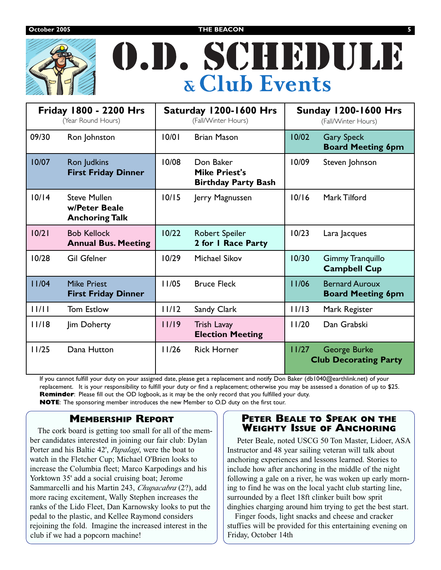**October 2005 THE BEACON 5**



# O.D. SCHEDULE **& Club Events**

| Friday 1800 - 2200 Hrs<br>(Year Round Hours) |                                                               | Saturday 1200-1600 Hrs<br>(Fall/Winter Hours) |                                                                 | <b>Sunday 1200-1600 Hrs</b><br>(Fall/Winter Hours) |                                                   |
|----------------------------------------------|---------------------------------------------------------------|-----------------------------------------------|-----------------------------------------------------------------|----------------------------------------------------|---------------------------------------------------|
| 09/30                                        | Ron Johnston                                                  | 10/01                                         | <b>Brian Mason</b>                                              | 10/02                                              | <b>Gary Speck</b><br><b>Board Meeting 6pm</b>     |
| 10/07                                        | Ron Judkins<br><b>First Friday Dinner</b>                     | 10/08                                         | Don Baker<br><b>Mike Priest's</b><br><b>Birthday Party Bash</b> | 10/09                                              | Steven Johnson                                    |
| 10/14                                        | <b>Steve Mullen</b><br>w/Peter Beale<br><b>Anchoring Talk</b> | 10/15                                         | Jerry Magnussen                                                 | 10/16                                              | Mark Tilford                                      |
| 10/21                                        | <b>Bob Kellock</b><br><b>Annual Bus. Meeting</b>              | 10/22                                         | Robert Speiler<br>2 for I Race Party                            | 10/23                                              | Lara Jacques                                      |
| 10/28                                        | <b>Gil Gfelner</b>                                            | 10/29                                         | <b>Michael Sikov</b>                                            | 10/30                                              | <b>Gimmy Tranquillo</b><br><b>Campbell Cup</b>    |
| 11/04                                        | <b>Mike Priest</b><br><b>First Friday Dinner</b>              | 11/05                                         | <b>Bruce Fleck</b>                                              | 11/06                                              | <b>Bernard Auroux</b><br><b>Board Meeting 6pm</b> |
| 11/11                                        | <b>Tom Estlow</b>                                             | 11/12                                         | Sandy Clark                                                     | 11/13                                              | Mark Register                                     |
| 11/18                                        | Jim Doherty                                                   | 11/19                                         | <b>Trish Lavay</b><br><b>Election Meeting</b>                   | 11/20                                              | Dan Grabski                                       |
| 11/25                                        | Dana Hutton                                                   | 11/26                                         | <b>Rick Horner</b>                                              | 11/27                                              | George Burke<br><b>Club Decorating Party</b>      |

If you cannot fulfill your duty on your assigned date, please get a replacement and notify Don Baker (db1040@earthlink.net) of your replacement. It is your responsibility to fulfill your duty or find a replacement; otherwise you may be assessed a donation of up to \$25. **Reminder**: Please fill out the OD logbook, as it may be the only record that you fulfilled your duty. **NOTE**: The sponsoring member introduces the new Member to O.D duty on the first tour.

## **MEMBERSHIP REPORT**

The cork board is getting too small for all of the member candidates interested in joining our fair club: Dylan Porter and his Baltic 42', *Papalagi*, were the boat to watch in the Fletcher Cup; Michael O'Brien looks to increase the Columbia fleet; Marco Karpodings and his Yorktown 35' add a social cruising boat; Jerome Sammarcelli and his Martin 243, *Chupacabra* (2?), add more racing excitement, Wally Stephen increases the ranks of the Lido Fleet, Dan Karnowsky looks to put the pedal to the plastic, and Kellee Raymond considers rejoining the fold. Imagine the increased interest in the club if we had a popcorn machine!

### **PETER BEALE TO SPEAK ON THE WEIGHTY ISSUE OF ANCHORING**

Peter Beale, noted USCG 50 Ton Master, Lidoer, ASA Instructor and 48 year sailing veteran will talk about anchoring experiences and lessons learned. Stories to include how after anchoring in the middle of the night following a gale on a river, he was woken up early morning to find he was on the local yacht club starting line, surrounded by a fleet 18ft clinker built bow sprit dinghies charging around him trying to get the best start.

Finger foods, light snacks and cheese and cracker stuffies will be provided for this entertaining evening on Friday, October 14th